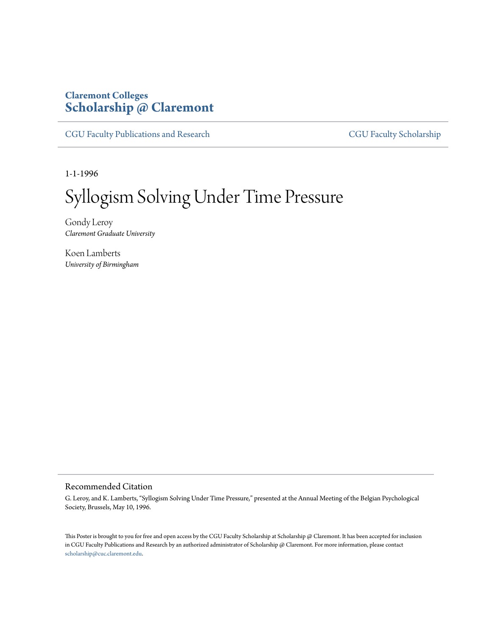## **Claremont Colleges [Scholarship @ Claremont](http://scholarship.claremont.edu)**

[CGU Faculty Publications and Research](http://scholarship.claremont.edu/cgu_fac_pub) [CGU Faculty Scholarship](http://scholarship.claremont.edu/cgu_faculty)

1-1-1996

## Syllogism Solving Under Time Pressure

Gondy Leroy *Claremont Graduate University*

Koen Lamberts *University of Birmingham*

## Recommended Citation

G. Leroy, and K. Lamberts, "Syllogism Solving Under Time Pressure," presented at the Annual Meeting of the Belgian Psychological Society, Brussels, May 10, 1996.

This Poster is brought to you for free and open access by the CGU Faculty Scholarship at Scholarship @ Claremont. It has been accepted for inclusion in CGU Faculty Publications and Research by an authorized administrator of Scholarship @ Claremont. For more information, please contact [scholarship@cuc.claremont.edu.](mailto:scholarship@cuc.claremont.edu)